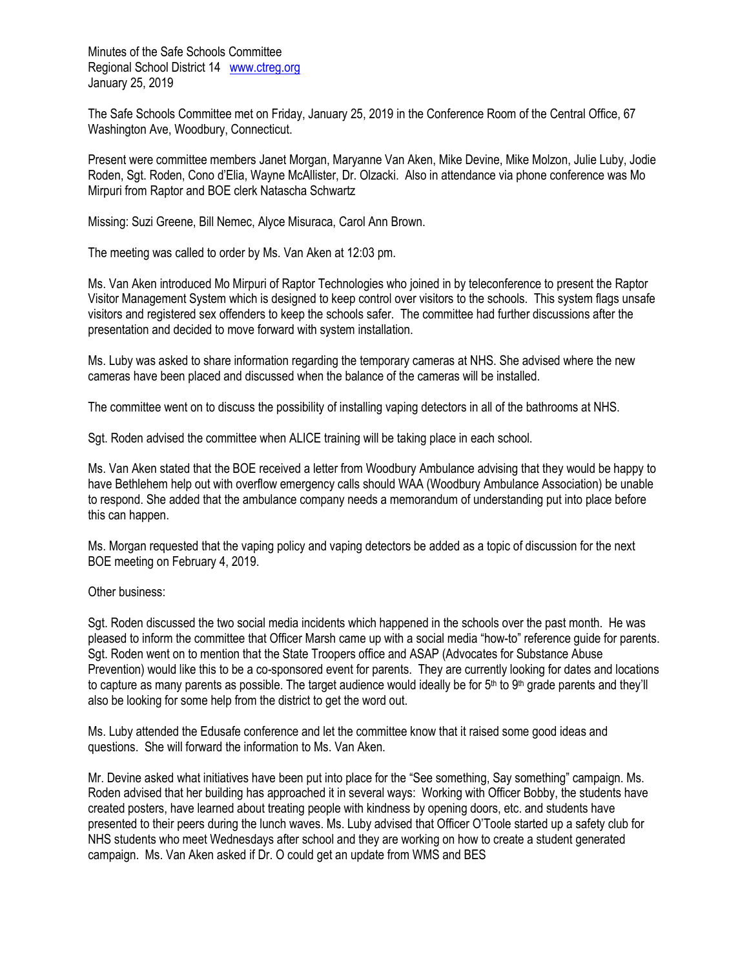Minutes of the Safe Schools Committee Regional School District 14 [www.ctreg.org](http://www.ctreg.org/) January 25, 2019

The Safe Schools Committee met on Friday, January 25, 2019 in the Conference Room of the Central Office, 67 Washington Ave, Woodbury, Connecticut.

Present were committee members Janet Morgan, Maryanne Van Aken, Mike Devine, Mike Molzon, Julie Luby, Jodie Roden, Sgt. Roden, Cono d'Elia, Wayne McAllister, Dr. Olzacki. Also in attendance via phone conference was Mo Mirpuri from Raptor and BOE clerk Natascha Schwartz

Missing: Suzi Greene, Bill Nemec, Alyce Misuraca, Carol Ann Brown.

The meeting was called to order by Ms. Van Aken at 12:03 pm.

Ms. Van Aken introduced Mo Mirpuri of Raptor Technologies who joined in by teleconference to present the Raptor Visitor Management System which is designed to keep control over visitors to the schools. This system flags unsafe visitors and registered sex offenders to keep the schools safer. The committee had further discussions after the presentation and decided to move forward with system installation.

Ms. Luby was asked to share information regarding the temporary cameras at NHS. She advised where the new cameras have been placed and discussed when the balance of the cameras will be installed.

The committee went on to discuss the possibility of installing vaping detectors in all of the bathrooms at NHS.

Sgt. Roden advised the committee when ALICE training will be taking place in each school.

Ms. Van Aken stated that the BOE received a letter from Woodbury Ambulance advising that they would be happy to have Bethlehem help out with overflow emergency calls should WAA (Woodbury Ambulance Association) be unable to respond. She added that the ambulance company needs a memorandum of understanding put into place before this can happen.

Ms. Morgan requested that the vaping policy and vaping detectors be added as a topic of discussion for the next BOE meeting on February 4, 2019.

## Other business:

Sgt. Roden discussed the two social media incidents which happened in the schools over the past month. He was pleased to inform the committee that Officer Marsh came up with a social media "how-to" reference guide for parents. Sgt. Roden went on to mention that the State Troopers office and ASAP (Advocates for Substance Abuse Prevention) would like this to be a co-sponsored event for parents. They are currently looking for dates and locations to capture as many parents as possible. The target audience would ideally be for  $5<sup>th</sup>$  to  $9<sup>th</sup>$  grade parents and they'll also be looking for some help from the district to get the word out.

Ms. Luby attended the Edusafe conference and let the committee know that it raised some good ideas and questions. She will forward the information to Ms. Van Aken.

Mr. Devine asked what initiatives have been put into place for the "See something, Say something" campaign. Ms. Roden advised that her building has approached it in several ways: Working with Officer Bobby, the students have created posters, have learned about treating people with kindness by opening doors, etc. and students have presented to their peers during the lunch waves. Ms. Luby advised that Officer O'Toole started up a safety club for NHS students who meet Wednesdays after school and they are working on how to create a student generated campaign. Ms. Van Aken asked if Dr. O could get an update from WMS and BES